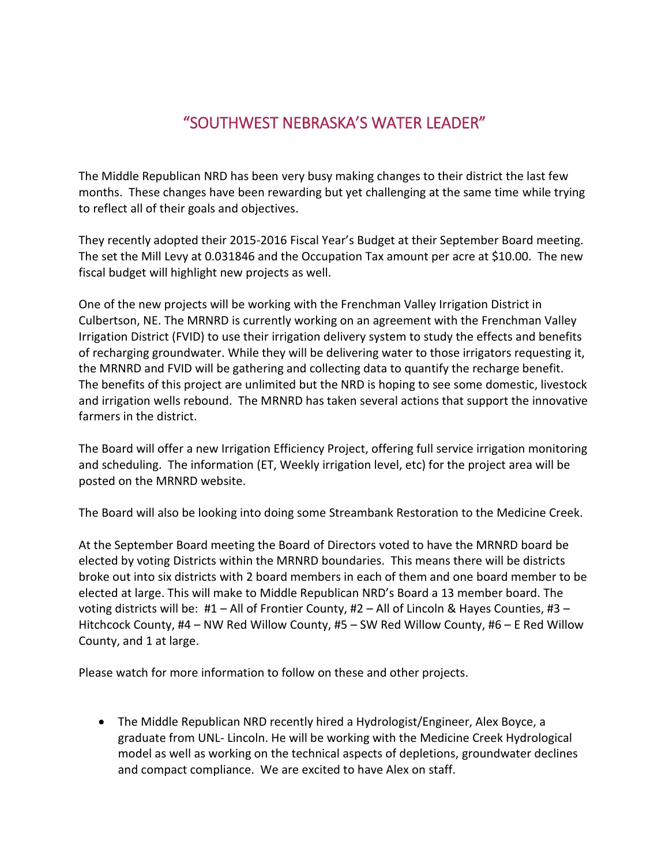## "SOUTHWEST NEBRASKA'S WATER LEADER"

The Middle Republican NRD has been very busy making changes to their district the last few months. These changes have been rewarding but yet challenging at the same time while trying to reflect all of their goals and objectives.

They recently adopted their 2015-2016 Fiscal Year's Budget at their September Board meeting. The set the Mill Levy at 0.031846 and the Occupation Tax amount per acre at \$10.00. The new fiscal budget will highlight new projects as well.

One of the new projects will be working with the Frenchman Valley Irrigation District in Culbertson, NE. The MRNRD is currently working on an agreement with the Frenchman Valley Irrigation District (FVID) to use their irrigation delivery system to study the effects and benefits of recharging groundwater. While they will be delivering water to those irrigators requesting it, the MRNRD and FVID will be gathering and collecting data to quantify the recharge benefit. The benefits of this project are unlimited but the NRD is hoping to see some domestic, livestock and irrigation wells rebound. The MRNRD has taken several actions that support the innovative farmers in the district.

The Board will offer a new Irrigation Efficiency Project, offering full service irrigation monitoring and scheduling. The information (ET, Weekly irrigation level, etc) for the project area will be posted on the MRNRD website.

The Board will also be looking into doing some Streambank Restoration to the Medicine Creek.

At the September Board meeting the Board of Directors voted to have the MRNRD board be elected by voting Districts within the MRNRD boundaries. This means there will be districts broke out into six districts with 2 board members in each of them and one board member to be elected at large. This will make to Middle Republican NRD's Board a 13 member board. The voting districts will be: #1 – All of Frontier County, #2 – All of Lincoln & Hayes Counties, #3 – Hitchcock County, #4 – NW Red Willow County, #5 – SW Red Willow County, #6 – E Red Willow County, and 1 at large.

Please watch for more information to follow on these and other projects.

 The Middle Republican NRD recently hired a Hydrologist/Engineer, Alex Boyce, a graduate from UNL- Lincoln. He will be working with the Medicine Creek Hydrological model as well as working on the technical aspects of depletions, groundwater declines and compact compliance. We are excited to have Alex on staff.